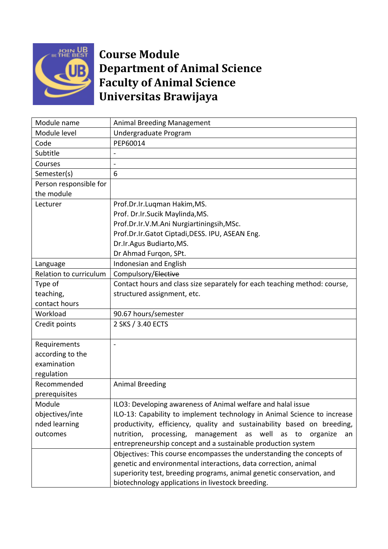

## **FORE DEST Course Module Department of Animal Science Faculty of Animal Science Universitas Brawijaya**

| Module name            | <b>Animal Breeding Management</b>                                         |
|------------------------|---------------------------------------------------------------------------|
| Module level           | Undergraduate Program                                                     |
| Code                   | PEP60014                                                                  |
| Subtitle               |                                                                           |
| Courses                | $\overline{a}$                                                            |
| Semester(s)            | 6                                                                         |
| Person responsible for |                                                                           |
| the module             |                                                                           |
| Lecturer               | Prof.Dr.Ir.Luqman Hakim, MS.                                              |
|                        | Prof. Dr.Ir.Sucik Maylinda, MS.                                           |
|                        | Prof.Dr.Ir.V.M.Ani Nurgiartiningsih, MSc.                                 |
|                        | Prof.Dr.Ir.Gatot Ciptadi,DESS. IPU, ASEAN Eng.                            |
|                        | Dr.Ir.Agus Budiarto, MS.                                                  |
|                        | Dr Ahmad Furqon, SPt.                                                     |
| Language               | Indonesian and English                                                    |
| Relation to curriculum | Compulsory/Elective                                                       |
| Type of                | Contact hours and class size separately for each teaching method: course, |
| teaching,              | structured assignment, etc.                                               |
| contact hours          |                                                                           |
| Workload               | 90.67 hours/semester                                                      |
| Credit points          | 2 SKS / 3.40 ECTS                                                         |
|                        |                                                                           |
| Requirements           |                                                                           |
| according to the       |                                                                           |
| examination            |                                                                           |
| regulation             |                                                                           |
| Recommended            | <b>Animal Breeding</b>                                                    |
| prerequisites          |                                                                           |
| Module                 | ILO3: Developing awareness of Animal welfare and halal issue              |
| objectives/inte        | ILO-13: Capability to implement technology in Animal Science to increase  |
| nded learning          | productivity, efficiency, quality and sustainability based on breeding,   |
| outcomes               | processing,<br>management as well as to<br>nutrition,<br>organize<br>an   |
|                        | entrepreneurship concept and a sustainable production system              |
|                        | Objectives: This course encompasses the understanding the concepts of     |
|                        | genetic and environmental interactions, data correction, animal           |
|                        | superiority test, breeding programs, animal genetic conservation, and     |
|                        | biotechnology applications in livestock breeding.                         |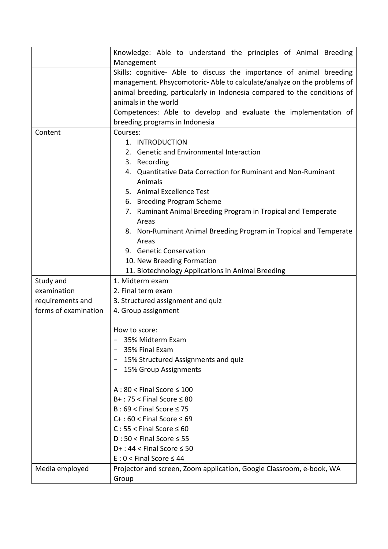|                                                         | Knowledge: Able to understand the principles of Animal Breeding<br>Management                                                                                                                                                                                                                                                                                                                                                                                                                        |
|---------------------------------------------------------|------------------------------------------------------------------------------------------------------------------------------------------------------------------------------------------------------------------------------------------------------------------------------------------------------------------------------------------------------------------------------------------------------------------------------------------------------------------------------------------------------|
|                                                         | Skills: cognitive- Able to discuss the importance of animal breeding<br>management. Phsycomotoric-Able to calculate/analyze on the problems of<br>animal breeding, particularly in Indonesia compared to the conditions of<br>animals in the world                                                                                                                                                                                                                                                   |
|                                                         | Competences: Able to develop and evaluate the implementation of<br>breeding programs in Indonesia                                                                                                                                                                                                                                                                                                                                                                                                    |
| Content                                                 | Courses:<br>1. INTRODUCTION<br>2. Genetic and Environmental Interaction<br>3. Recording<br>4. Quantitative Data Correction for Ruminant and Non-Ruminant<br>Animals<br>5. Animal Excellence Test<br>6. Breeding Program Scheme<br>7. Ruminant Animal Breeding Program in Tropical and Temperate<br>Areas<br>8. Non-Ruminant Animal Breeding Program in Tropical and Temperate<br>Areas<br>9. Genetic Conservation<br>10. New Breeding Formation<br>11. Biotechnology Applications in Animal Breeding |
| Study and                                               | 1. Midterm exam                                                                                                                                                                                                                                                                                                                                                                                                                                                                                      |
| examination<br>requirements and<br>forms of examination | 2. Final term exam<br>3. Structured assignment and quiz<br>4. Group assignment                                                                                                                                                                                                                                                                                                                                                                                                                       |
|                                                         | How to score:<br>35% Midterm Exam<br>35% Final Exam<br>15% Structured Assignments and quiz<br>15% Group Assignments                                                                                                                                                                                                                                                                                                                                                                                  |
|                                                         | $A:80 <$ Final Score $\leq 100$<br>$B+$ : 75 < Final Score $\leq 80$<br>$B:69 <$ Final Score $\leq 75$<br>$C+$ : 60 < Final Score $\leq 69$<br>$C: 55 <$ Final Score $\leq 60$<br>$D:50 <$ Final Score $\leq 55$<br>$D+$ : 44 < Final Score $\leq$ 50<br>$E: 0 <$ Final Score $\leq 44$                                                                                                                                                                                                              |
| Media employed                                          | Projector and screen, Zoom application, Google Classroom, e-book, WA<br>Group                                                                                                                                                                                                                                                                                                                                                                                                                        |